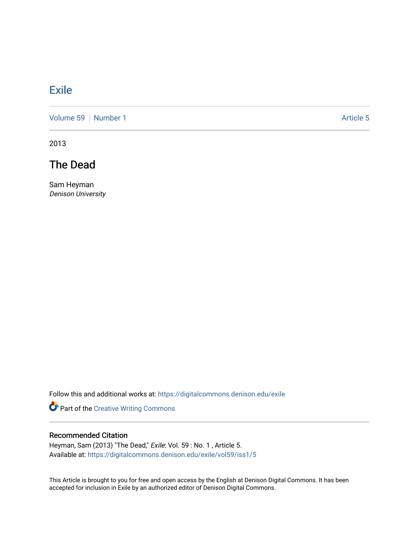## **[Exile](https://digitalcommons.denison.edu/exile)**

[Volume 59](https://digitalcommons.denison.edu/exile/vol59) [Number 1](https://digitalcommons.denison.edu/exile/vol59/iss1) Article 5

2013

The Dead

Sam Heyman Denison University

Follow this and additional works at: [https://digitalcommons.denison.edu/exile](https://digitalcommons.denison.edu/exile?utm_source=digitalcommons.denison.edu%2Fexile%2Fvol59%2Fiss1%2F5&utm_medium=PDF&utm_campaign=PDFCoverPages) 

Part of the [Creative Writing Commons](http://network.bepress.com/hgg/discipline/574?utm_source=digitalcommons.denison.edu%2Fexile%2Fvol59%2Fiss1%2F5&utm_medium=PDF&utm_campaign=PDFCoverPages) 

## Recommended Citation

Heyman, Sam (2013) "The Dead," Exile: Vol. 59 : No. 1, Article 5. Available at: [https://digitalcommons.denison.edu/exile/vol59/iss1/5](https://digitalcommons.denison.edu/exile/vol59/iss1/5?utm_source=digitalcommons.denison.edu%2Fexile%2Fvol59%2Fiss1%2F5&utm_medium=PDF&utm_campaign=PDFCoverPages) 

This Article is brought to you for free and open access by the English at Denison Digital Commons. It has been accepted for inclusion in Exile by an authorized editor of Denison Digital Commons.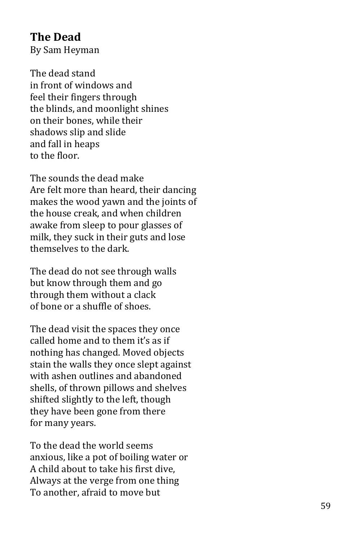## **The Dead**

By Sam Heyman

The dead stand in front of windows and feel their fingers through the blinds, and moonlight shines on their bones, while their shadows slip and slide and fall in heaps to the floor.

The sounds the dead make Are felt more than heard, their dancing makes the wood yawn and the joints of the house creak, and when children awake from sleep to pour glasses of milk, they suck in their guts and lose themselves to the dark.

The dead do not see through walls but know through them and go through them without a clack of bone or a shuffle of shoes.

The dead visit the spaces they once called home and to them it's as if nothing has changed. Moved objects stain the walls they once slept against with ashen outlines and abandoned shells, of thrown pillows and shelves shifted slightly to the left, though they have been gone from there for many years.

To the dead the world seems anxious, like a pot of boiling water or A child about to take his first dive, Always at the verge from one thing To another, afraid to move but